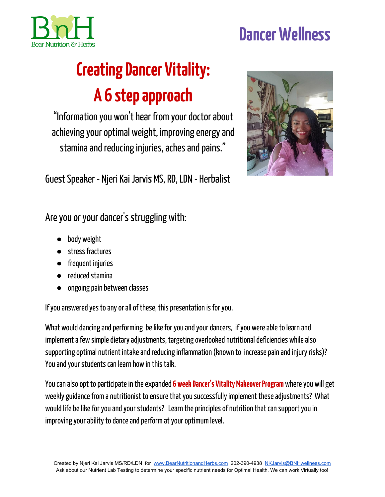

## **DancerWellness**

# **Creating Dancer Vitality: A 6 stepapproach**

"Information you won't hear from your doctor about achieving your optimal weight, improving energy and stamina and reducing injuries, aches and pains."

Guest Speaker - Njeri Kai Jarvis MS, RD, LDN - Herbalist



Are you or your dancer's struggling with:

- body weight
- stressfractures
- frequent injuries
- $\bullet$  reduced stamina
- ongoing pain between classes

If you answered yes to any or all of these, this presentation is for you.

What would dancing and performing be like for you and your dancers, if you were able to learn and implement a few simple dietary adjustments, targeting overlooked nutritional deficiencies while also supporting optimal nutrient intake and reducing inflammation (known to increase pain and injury risks)? You and your students can learn how in this talk.

You can also opt to participate in the expanded 6 week Dancer's Vitality Makeover Program where you will get weekly guidance from a nutritionist to ensure that you successfully implement these adjustments? What would life be like for you and your students? Learn the principles of nutrition that can support you in improving your ability to dance and perform at your optimum level.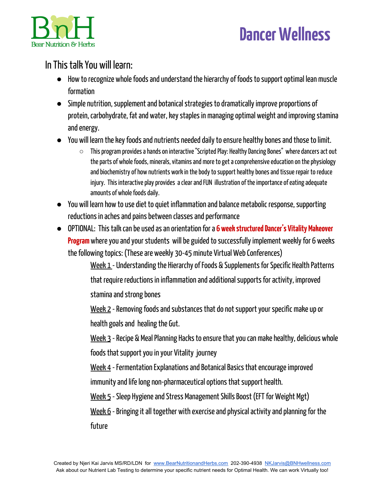



### InThistalkYou will learn:

- How to recognize whole foods and understand the hierarchy of foods to support optimal lean muscle formation
- Simple nutrition, supplement and botanical strategies to dramatically improve proportions of protein, carbohydrate, fat and water, key staples in managing optimal weight and improving stamina and energy.
- You will learn the key foods and nutrients needed daily to ensure healthy bones and those to limit.
	- $\circ$  This program provides a hands on interactive "Scripted Play: Healthy Dancing Bones" where dancers act out the parts of whole foods, minerals, vitamins and more to get a comprehensive education on the physiology and biochemistry of how nutrients work in the body to support healthy bones and tissue repair to reduce injury. This interactive play provides a clear and FUN illustration of the importance of eating adequate amounts of whole foods daily.
- You will learn how to use diet to quiet inflammation and balance metabolic response, supporting reductions in aches and pains between classes and performance
- OPTIONAL: Thistalkcanbeusedasanorientationfora **6 weekstructuredDancer's Vitality Makeover Program** where you and your students will be guided to successfully implement weekly for 6 weeks the following topics: (These are weekly 30-45 minute Virtual Web Conferences)

<u>Week 1</u> - Understanding the Hierarchy of Foods & Supplements for Specific Health Patterns that require reductions in inflammation and additional supports for activity, improved stamina and strong bones

Week 2 - Removing foods and substances that do not support your specific make up or health goals and healing the Gut.

<u>Week 3</u> - Recipe & Meal Planning Hacks to ensure that you can make healthy, delicious whole foods that support you in your Vitality journey

Week 4 - Fermentation Explanations and Botanical Basics that encourage improved immunity and life long non-pharmaceutical options that support health.

Week 5 - Sleep Hygiene and Stress Management Skills Boost (EFT for Weight Mgt)

Week 6 - Bringing it all together with exercise and physical activity and planning for the future